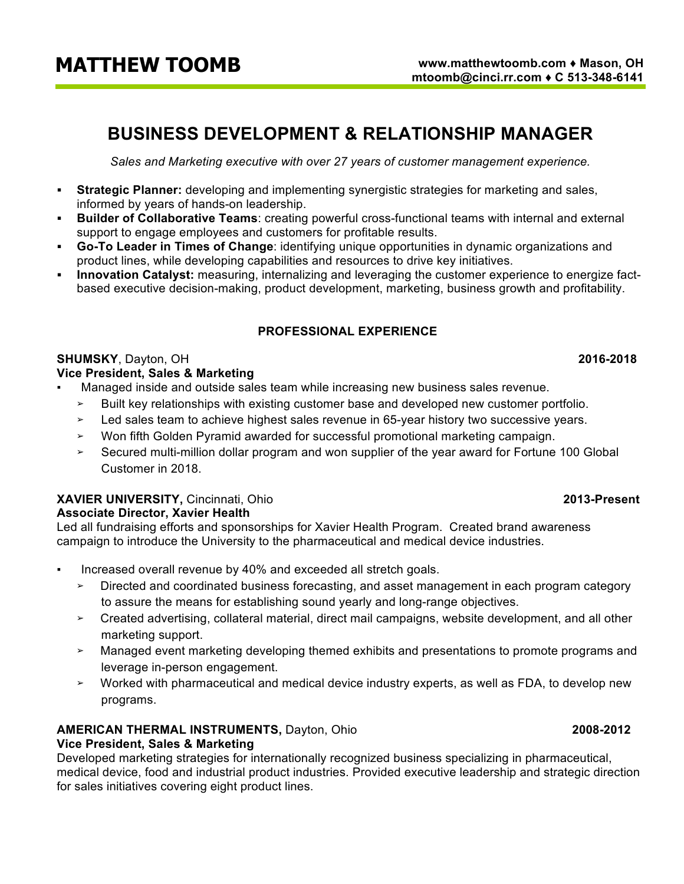# **MATTHEW TOOMB**

# **BUSINESS DEVELOPMENT & RELATIONSHIP MANAGER**

*Sales and Marketing executive with over 27 years of customer management experience.*

- **Strategic Planner:** developing and implementing synergistic strategies for marketing and sales, informed by years of hands-on leadership.
- § **Builder of Collaborative Teams**: creating powerful cross-functional teams with internal and external support to engage employees and customers for profitable results.
- § **Go-To Leader in Times of Change**: identifying unique opportunities in dynamic organizations and product lines, while developing capabilities and resources to drive key initiatives.
- **Innovation Catalyst:** measuring, internalizing and leveraging the customer experience to energize factbased executive decision-making, product development, marketing, business growth and profitability.

# **PROFESSIONAL EXPERIENCE**

# **SHUMSKY**, Dayton, OH **2016-2018**

# **Vice President, Sales & Marketing**

- Managed inside and outside sales team while increasing new business sales revenue.
	- $\geq$  Built key relationships with existing customer base and developed new customer portfolio.
	- ➢ Led sales team to achieve highest sales revenue in 65-year history two successive years.
	- ➢ Won fifth Golden Pyramid awarded for successful promotional marketing campaign.
	- ➢ Secured multi-million dollar program and won supplier of the year award for Fortune 100 Global Customer in 2018.

### **XAVIER UNIVERSITY,** Cincinnati, Ohio **2013-Present Associate Director, Xavier Health**

Led all fundraising efforts and sponsorships for Xavier Health Program. Created brand awareness campaign to introduce the University to the pharmaceutical and medical device industries.

- Increased overall revenue by 40% and exceeded all stretch goals.
	- $\geq$  Directed and coordinated business forecasting, and asset management in each program category to assure the means for establishing sound yearly and long-range objectives.
	- ➢ Created advertising, collateral material, direct mail campaigns, website development, and all other marketing support.
	- ➢ Managed event marketing developing themed exhibits and presentations to promote programs and leverage in-person engagement.
	- ➢ Worked with pharmaceutical and medical device industry experts, as well as FDA, to develop new programs.

# **AMERICAN THERMAL INSTRUMENTS,** Dayton, Ohio **2008-2012**

# **Vice President, Sales & Marketing**

Developed marketing strategies for internationally recognized business specializing in pharmaceutical, medical device, food and industrial product industries. Provided executive leadership and strategic direction for sales initiatives covering eight product lines.